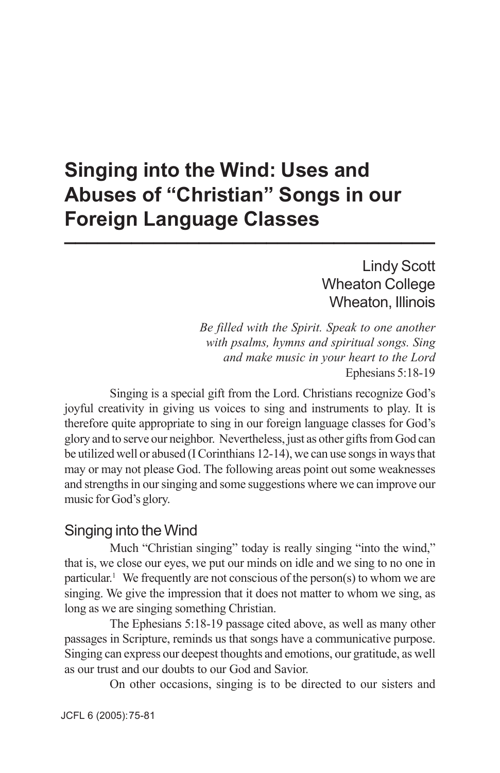# **Singing into the Wind: Uses and Abuses of "Christian" Songs in our Foreign Language Classes \_\_\_\_\_\_\_\_\_\_\_\_\_\_\_\_\_\_\_\_\_\_\_\_\_\_\_\_\_\_\_\_\_**

### Lindy Scott Wheaton College Wheaton, Illinois

*Be filled with the Spirit. Speak to one another with psalms, hymns and spiritual songs. Sing and make music in your heart to the Lord* Ephesians 5:18-19

Singing is a special gift from the Lord. Christians recognize God's joyful creativity in giving us voices to sing and instruments to play. It is therefore quite appropriate to sing in our foreign language classes for God's glory and to serve our neighbor. Nevertheless, just as other gifts from God can be utilized well or abused (I Corinthians 12-14), we can use songs in ways that may or may not please God. The following areas point out some weaknesses and strengths in our singing and some suggestions where we can improve our music for God's glory.

#### Singing into the Wind

Much "Christian singing" today is really singing "into the wind," that is, we close our eyes, we put our minds on idle and we sing to no one in particular.<sup>1</sup> We frequently are not conscious of the person(s) to whom we are singing. We give the impression that it does not matter to whom we sing, as long as we are singing something Christian.

The Ephesians 5:18-19 passage cited above, as well as many other passages in Scripture, reminds us that songs have a communicative purpose. Singing can express our deepest thoughts and emotions, our gratitude, as well as our trust and our doubts to our God and Savior.

On other occasions, singing is to be directed to our sisters and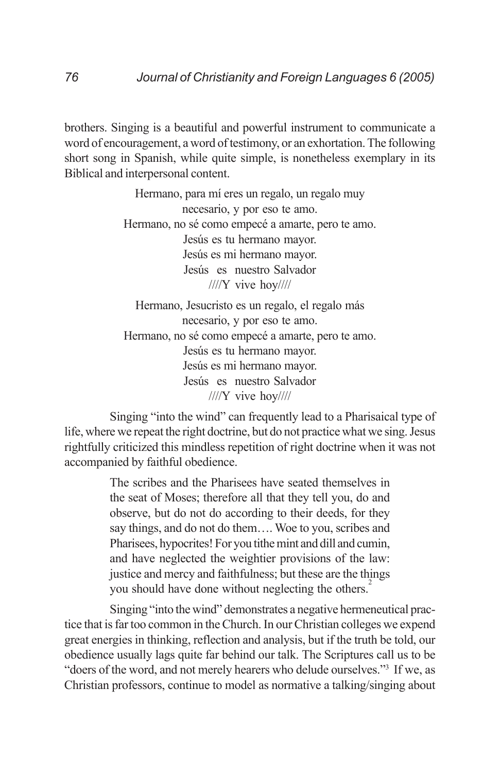brothers. Singing is a beautiful and powerful instrument to communicate a word of encouragement, a word of testimony, or an exhortation. The following short song in Spanish, while quite simple, is nonetheless exemplary in its Biblical and interpersonal content.

> Hermano, para mí eres un regalo, un regalo muy necesario, y por eso te amo. Hermano, no sé como empecé a amarte, pero te amo. Jesús es tu hermano mayor. Jesús es mi hermano mayor. Jesús es nuestro Salvador ////Y vive hoy//// Hermano, Jesucristo es un regalo, el regalo más necesario, y por eso te amo. Hermano, no sé como empecé a amarte, pero te amo. Jesús es tu hermano mayor. Jesús es mi hermano mayor. Jesús es nuestro Salvador

> > ////Y vive hoy////

Singing "into the wind" can frequently lead to a Pharisaical type of life, where we repeat the right doctrine, but do not practice what we sing. Jesus rightfully criticized this mindless repetition of right doctrine when it was not accompanied by faithful obedience.

> The scribes and the Pharisees have seated themselves in the seat of Moses; therefore all that they tell you, do and observe, but do not do according to their deeds, for they say things, and do not do them…. Woe to you, scribes and Pharisees, hypocrites! For you tithe mint and dill and cumin, and have neglected the weightier provisions of the law: justice and mercy and faithfulness; but these are the things you should have done without neglecting the others.<sup>2</sup>

Singing "into the wind" demonstrates a negative hermeneutical practice that is far too common in the Church. In our Christian colleges we expend great energies in thinking, reflection and analysis, but if the truth be told, our obedience usually lags quite far behind our talk. The Scriptures call us to be "doers of the word, and not merely hearers who delude ourselves."3 If we, as Christian professors, continue to model as normative a talking/singing about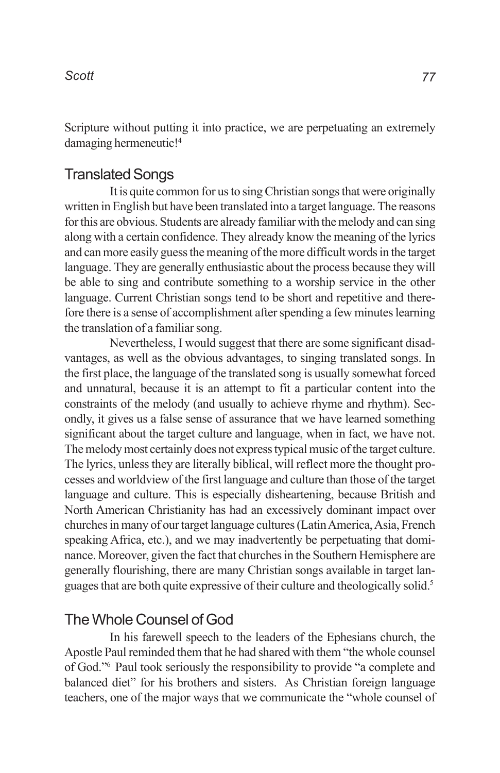Scripture without putting it into practice, we are perpetuating an extremely damaging hermeneutic!<sup>4</sup>

### Translated Songs

It is quite common for us to sing Christian songs that were originally written in English but have been translated into a target language. The reasons for this are obvious. Students are already familiar with the melody and can sing along with a certain confidence. They already know the meaning of the lyrics and can more easily guess the meaning of the more difficult words in the target language. They are generally enthusiastic about the process because they will be able to sing and contribute something to a worship service in the other language. Current Christian songs tend to be short and repetitive and therefore there is a sense of accomplishment after spending a few minutes learning the translation of a familiar song.

Nevertheless, I would suggest that there are some significant disadvantages, as well as the obvious advantages, to singing translated songs. In the first place, the language of the translated song is usually somewhat forced and unnatural, because it is an attempt to fit a particular content into the constraints of the melody (and usually to achieve rhyme and rhythm). Secondly, it gives us a false sense of assurance that we have learned something significant about the target culture and language, when in fact, we have not. The melody most certainly does not express typical music of the target culture. The lyrics, unless they are literally biblical, will reflect more the thought processes and worldview of the first language and culture than those of the target language and culture. This is especially disheartening, because British and North American Christianity has had an excessively dominant impact over churches in many of our target language cultures (Latin America, Asia, French speaking Africa, etc.), and we may inadvertently be perpetuating that dominance. Moreover, given the fact that churches in the Southern Hemisphere are generally flourishing, there are many Christian songs available in target languages that are both quite expressive of their culture and theologically solid.5

### The Whole Counsel of God

In his farewell speech to the leaders of the Ephesians church, the Apostle Paul reminded them that he had shared with them "the whole counsel of God."6 Paul took seriously the responsibility to provide "a complete and balanced diet" for his brothers and sisters. As Christian foreign language teachers, one of the major ways that we communicate the "whole counsel of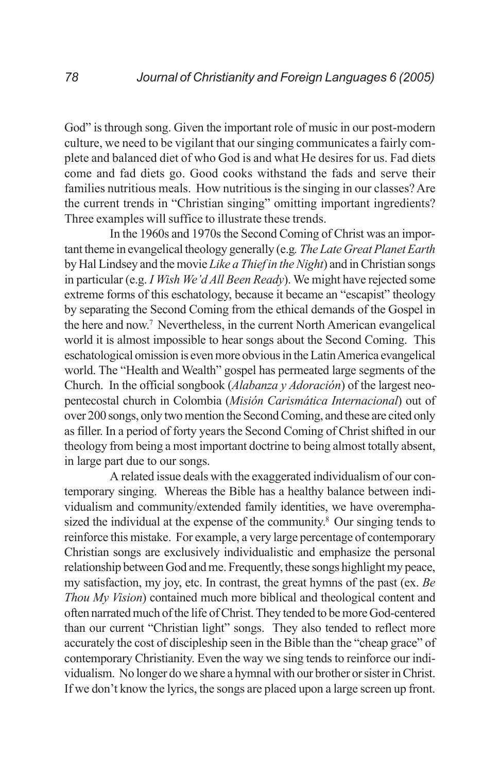God" is through song. Given the important role of music in our post-modern culture, we need to be vigilant that our singing communicates a fairly complete and balanced diet of who God is and what He desires for us. Fad diets come and fad diets go. Good cooks withstand the fads and serve their families nutritious meals. How nutritious is the singing in our classes? Are the current trends in "Christian singing" omitting important ingredients? Three examples will suffice to illustrate these trends.

In the 1960s and 1970s the Second Coming of Christ was an important theme in evangelical theology generally (e.g*. The Late Great Planet Earth* by Hal Lindsey and the movie *Like a Thief in the Night*) and in Christian songs in particular (e.g. *I Wish We'd All Been Ready*). We might have rejected some extreme forms of this eschatology, because it became an "escapist" theology by separating the Second Coming from the ethical demands of the Gospel in the here and now.7 Nevertheless, in the current North American evangelical world it is almost impossible to hear songs about the Second Coming. This eschatological omission is even more obvious in the Latin America evangelical world. The "Health and Wealth" gospel has permeated large segments of the Church. In the official songbook (*Alabanza y Adoración*) of the largest neopentecostal church in Colombia (*Misión Carismática Internacional*) out of over 200 songs, only two mention the Second Coming, and these are cited only as filler. In a period of forty years the Second Coming of Christ shifted in our theology from being a most important doctrine to being almost totally absent, in large part due to our songs.

A related issue deals with the exaggerated individualism of our contemporary singing. Whereas the Bible has a healthy balance between individualism and community/extended family identities, we have overemphasized the individual at the expense of the community.<sup>8</sup> Our singing tends to reinforce this mistake. For example, a very large percentage of contemporary Christian songs are exclusively individualistic and emphasize the personal relationship between God and me. Frequently, these songs highlight my peace, my satisfaction, my joy, etc. In contrast, the great hymns of the past (ex. *Be Thou My Vision*) contained much more biblical and theological content and often narrated much of the life of Christ. They tended to be more God-centered than our current "Christian light" songs. They also tended to reflect more accurately the cost of discipleship seen in the Bible than the "cheap grace" of contemporary Christianity. Even the way we sing tends to reinforce our individualism. No longer do we share a hymnal with our brother or sister in Christ. If we don't know the lyrics, the songs are placed upon a large screen up front.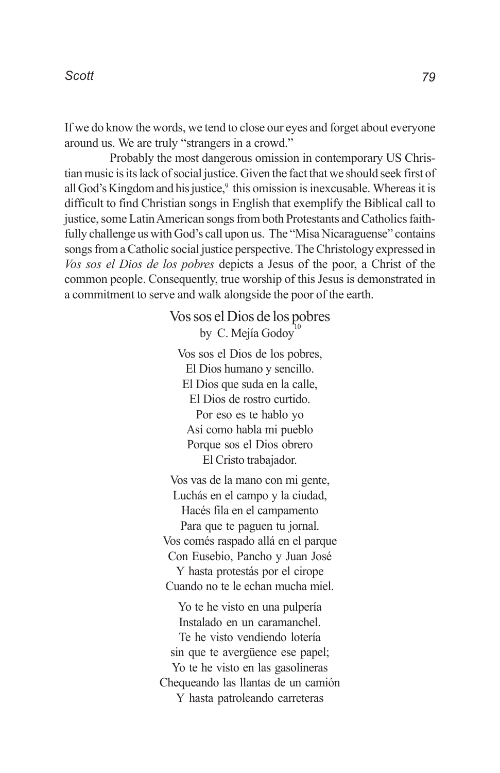If we do know the words, we tend to close our eyes and forget about everyone around us. We are truly "strangers in a crowd."

Probably the most dangerous omission in contemporary US Christian music is its lack of social justice. Given the fact that we should seek first of all God's Kingdom and his justice, $9$  this omission is inexcusable. Whereas it is difficult to find Christian songs in English that exemplify the Biblical call to justice, some Latin American songs from both Protestants and Catholics faithfully challenge us with God's call upon us. The "Misa Nicaraguense" contains songs from a Catholic social justice perspective. The Christology expressed in *Vos sos el Dios de los pobres* depicts a Jesus of the poor, a Christ of the common people. Consequently, true worship of this Jesus is demonstrated in a commitment to serve and walk alongside the poor of the earth.

> Vos sos el Dios de los pobres by C. Mejía Godov<sup>1</sup>

Vos sos el Dios de los pobres, El Dios humano y sencillo. El Dios que suda en la calle, El Dios de rostro curtido. Por eso es te hablo yo Así como habla mi pueblo Porque sos el Dios obrero El Cristo trabajador.

Vos vas de la mano con mi gente, Luchás en el campo y la ciudad, Hacés fila en el campamento Para que te paguen tu jornal. Vos comés raspado allá en el parque Con Eusebio, Pancho y Juan José Y hasta protestás por el cirope Cuando no te le echan mucha miel.

Yo te he visto en una pulpería Instalado en un caramanchel. Te he visto vendiendo lotería sin que te avergüence ese papel; Yo te he visto en las gasolineras Chequeando las llantas de un camión Y hasta patroleando carreteras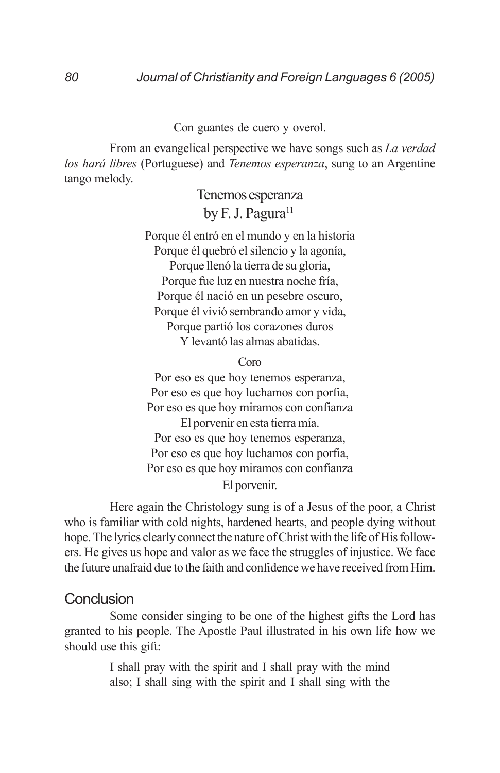#### *80 Journal of Christianity and Foreign Languages 6 (2005)*

#### Con guantes de cuero y overol.

From an evangelical perspective we have songs such as *La verdad los hará libres* (Portuguese) and *Tenemos esperanza*, sung to an Argentine tango melody.

> Tenemos esperanza by F. J. Pagura<sup>11</sup>

Porque él entró en el mundo y en la historia Porque él quebró el silencio y la agonía, Porque llenó la tierra de su gloria, Porque fue luz en nuestra noche fría, Porque él nació en un pesebre oscuro, Porque él vivió sembrando amor y vida, Porque partió los corazones duros Y levantó las almas abatidas.

Coro

Por eso es que hoy tenemos esperanza, Por eso es que hoy luchamos con porfia, Por eso es que hoy miramos con confianza El porvenir en esta tierra mía. Por eso es que hoy tenemos esperanza, Por eso es que hoy luchamos con porfia, Por eso es que hoy miramos con confianza El porvenir.

Here again the Christology sung is of a Jesus of the poor, a Christ who is familiar with cold nights, hardened hearts, and people dying without hope. The lyrics clearly connect the nature of Christ with the life of His followers. He gives us hope and valor as we face the struggles of injustice. We face the future unafraid due to the faith and confidence we have received from Him.

#### **Conclusion**

Some consider singing to be one of the highest gifts the Lord has granted to his people. The Apostle Paul illustrated in his own life how we should use this gift:

> I shall pray with the spirit and I shall pray with the mind also; I shall sing with the spirit and I shall sing with the